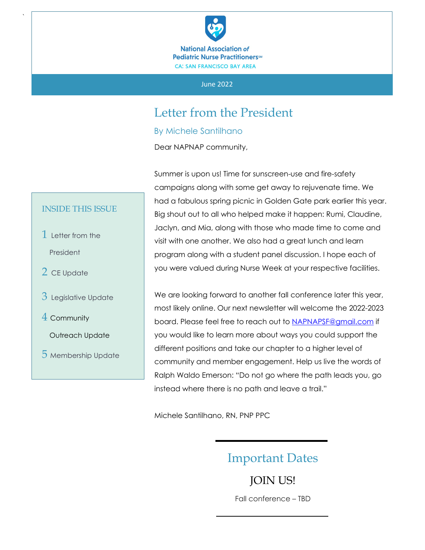

#### June 2022

## Letter from the President

By Michele Santilhano

Dear NAPNAP community,

Summer is upon us! Time for sunscreen-use and fire-safety campaigns along with some get away to rejuvenate time. We had a fabulous spring picnic in Golden Gate park earlier this year. Big shout out to all who helped make it happen: Rumi, Claudine, Jaclyn, and Mia, along with those who made time to come and visit with one another. We also had a great lunch and learn program along with a student panel discussion. I hope each of you were valued during Nurse Week at your respective facilities.

We are looking forward to another fall conference later this year, most likely online. Our next newsletter will welcome the 2022-2023 board. Please feel free to reach out to [NAPNAPSF@gmail.com](mailto:NAPNAPSF@gmail.com) if you would like to learn more about ways you could support the different positions and take our chapter to a higher level of community and member engagement. Help us live the words of Ralph Waldo Emerson: "Do not go where the path leads you, go instead where there is no path and leave a trail."

Michele Santilhano, RN, PNP PPC

## Important Dates

JOIN US! Fall conference – TBD

#### INSIDE THIS ISSUE

1 Letter from the President

`

- 2 CE Update
- 3 Legislative Update
- 4 Community
	- Outreach Update
- 5 Membership Update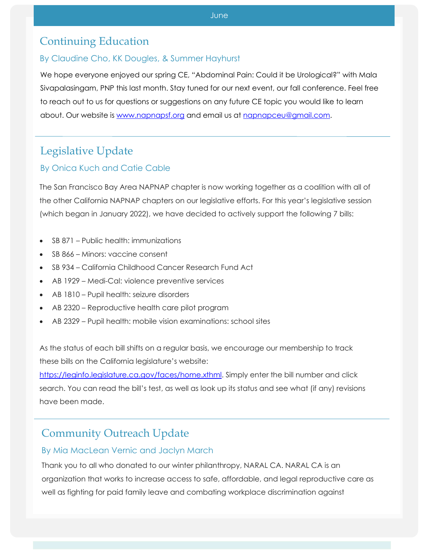## Continuing Education

#### $\mathcal{C}$ By Claudine Cho, KK Dougles, & Summer Hayhurst

We hope everyone enjoyed our spring CE, "Abdominal Pain: Could it be Urological?" with Mala Sivapalasingam, PNP this last month. Stay tuned for our next event, our fall conference. Feel free to reach out to us for questions or suggestions on any future CE topic you would like to learn about. Our website is [www.napnapsf.org](http://www.napnapsf.org/) and email us at [napnapceu@gmail.com.](mailto:napnapceu@gmail.com)

# Legislative Update

### By Onica Kuch and Catie Cable

The San Francisco Bay Area NAPNAP chapter is now working together as a coalition with all of the other California NAPNAP chapters on our legislative efforts. For this year's legislative session (which began in January 2022), we have decided to actively support the following 7 bills:

- SB 871 Public health: immunizations
- SB 866 Minors: vaccine consent
- SB 934 California Childhood Cancer Research Fund Act
- AB 1929 Medi-Cal: violence preventive services
- AB 1810 Pupil health: seizure disorders
- AB 2320 Reproductive health care pilot program
- AB 2329 Pupil health: mobile vision examinations: school sites

As the status of each bill shifts on a regular basis, we encourage our membership to track these bills on the California legislature's website:

[https://leginfo.legislature.ca.gov/faces/home.xthml.](https://leginfo.legislature.ca.gov/faces/home.xthml) Simply enter the bill number and click search. You can read the bill's test, as well as look up its status and see what (if any) revisions have been made.

## Community Outreach Update

### By Mia MacLean Vernic and Jaclyn March

Thank you to all who donated to our winter philanthropy, NARAL CA. NARAL CA is an organization that works to increase access to safe, affordable, and legal reproductive care as well as fighting for paid family leave and combating workplace discrimination against